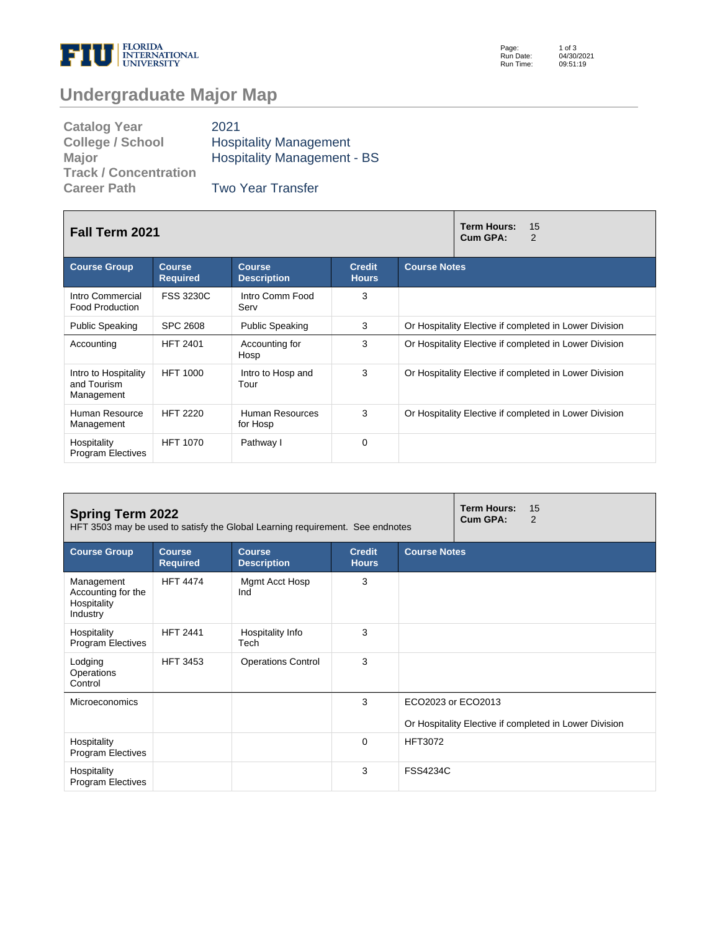

Page: Run Date: Run Time: 1 of 3 04/30/2021 09:51:19

## **Undergraduate Major Map**

| <b>Catalog Year</b>          | 2021                               |
|------------------------------|------------------------------------|
| <b>College / School</b>      | <b>Hospitality Management</b>      |
| <b>Major</b>                 | <b>Hospitality Management - BS</b> |
| <b>Track / Concentration</b> |                                    |
| <b>Career Path</b>           | <b>Two Year Transfer</b>           |

| <b>Fall Term 2021</b>                             |                                  | <b>Term Hours:</b><br>15<br>Cum GPA:<br>2 |                               |                                                        |  |  |
|---------------------------------------------------|----------------------------------|-------------------------------------------|-------------------------------|--------------------------------------------------------|--|--|
| <b>Course Group</b>                               | <b>Course</b><br><b>Required</b> | <b>Course</b><br><b>Description</b>       | <b>Credit</b><br><b>Hours</b> | <b>Course Notes</b>                                    |  |  |
| Intro Commercial<br><b>Food Production</b>        | <b>FSS 3230C</b>                 | Intro Comm Food<br>Serv                   | 3                             |                                                        |  |  |
| <b>Public Speaking</b>                            | <b>SPC 2608</b>                  | <b>Public Speaking</b>                    | 3                             | Or Hospitality Elective if completed in Lower Division |  |  |
| Accounting                                        | <b>HFT 2401</b>                  | Accounting for<br>Hosp                    | 3                             | Or Hospitality Elective if completed in Lower Division |  |  |
| Intro to Hospitality<br>and Tourism<br>Management | <b>HFT 1000</b>                  | Intro to Hosp and<br>Tour                 | 3                             | Or Hospitality Elective if completed in Lower Division |  |  |
| Human Resource<br>Management                      | <b>HFT 2220</b>                  | Human Resources<br>for Hosp               | 3                             | Or Hospitality Elective if completed in Lower Division |  |  |
| Hospitality<br><b>Program Electives</b>           | <b>HFT 1070</b>                  | Pathway I                                 | $\Omega$                      |                                                        |  |  |

| <b>Spring Term 2022</b><br>HFT 3503 may be used to satisfy the Global Learning requirement. See endnotes |                                  |                                     |                               |                     | <b>Term Hours:</b><br>15<br>Cum GPA:<br>$\mathcal{P}$  |  |
|----------------------------------------------------------------------------------------------------------|----------------------------------|-------------------------------------|-------------------------------|---------------------|--------------------------------------------------------|--|
| <b>Course Group</b>                                                                                      | <b>Course</b><br><b>Required</b> | <b>Course</b><br><b>Description</b> | <b>Credit</b><br><b>Hours</b> | <b>Course Notes</b> |                                                        |  |
| Management<br>Accounting for the<br>Hospitality<br>Industry                                              | <b>HFT 4474</b>                  | Mgmt Acct Hosp<br>Ind               | 3                             |                     |                                                        |  |
| Hospitality<br><b>Program Electives</b>                                                                  | <b>HFT 2441</b>                  | Hospitality Info<br>Tech            | 3                             |                     |                                                        |  |
| Lodging<br>Operations<br>Control                                                                         | <b>HFT 3453</b>                  | <b>Operations Control</b>           | 3                             |                     |                                                        |  |
| <b>Microeconomics</b>                                                                                    |                                  |                                     | 3                             | ECO2023 or ECO2013  |                                                        |  |
|                                                                                                          |                                  |                                     |                               |                     | Or Hospitality Elective if completed in Lower Division |  |
| Hospitality<br><b>Program Electives</b>                                                                  |                                  |                                     | $\Omega$                      | <b>HFT3072</b>      |                                                        |  |
| Hospitality<br><b>Program Electives</b>                                                                  |                                  |                                     | 3                             | <b>FSS4234C</b>     |                                                        |  |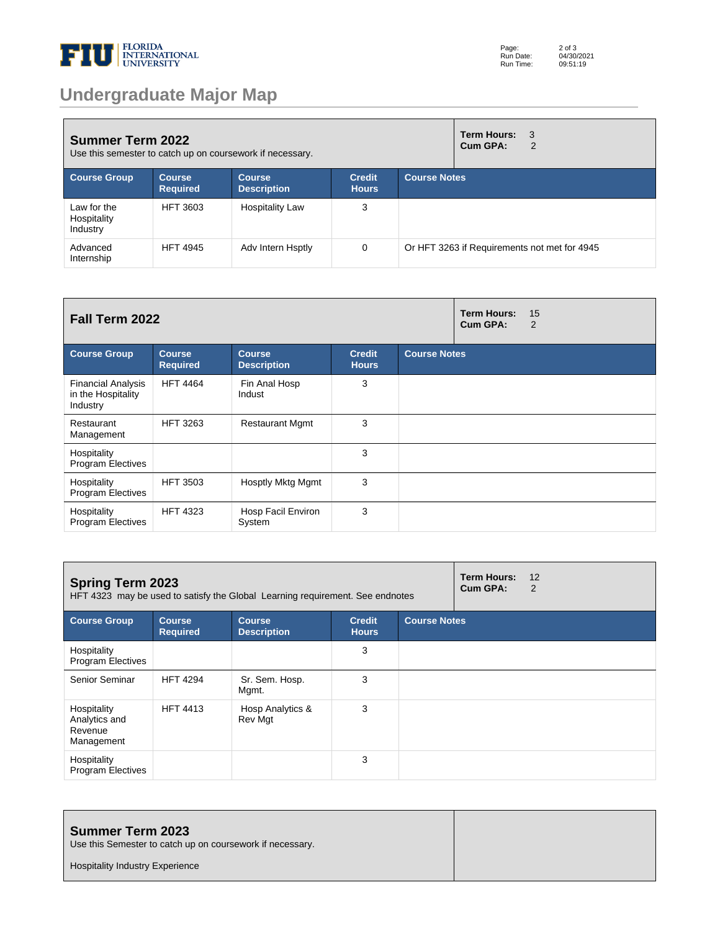

## **Undergraduate Major Map**

| <b>Summer Term 2022</b><br>Use this semester to catch up on coursework if necessary. |                                  |                                     |                               |                     | <b>Term Hours:</b><br>Cum GPA: | 3<br>2                                       |
|--------------------------------------------------------------------------------------|----------------------------------|-------------------------------------|-------------------------------|---------------------|--------------------------------|----------------------------------------------|
| <b>Course Group</b>                                                                  | <b>Course</b><br><b>Required</b> | <b>Course</b><br><b>Description</b> | <b>Credit</b><br><b>Hours</b> | <b>Course Notes</b> |                                |                                              |
| Law for the<br>Hospitality<br>Industry                                               | <b>HFT 3603</b>                  | <b>Hospitality Law</b>              | 3                             |                     |                                |                                              |
| Advanced<br>Internship                                                               | <b>HFT 4945</b>                  | Adv Intern Hsptly                   | $\Omega$                      |                     |                                | Or HFT 3263 if Requirements not met for 4945 |

| <b>Fall Term 2022</b>                                       |                                  |                                     |                               | <b>Term Hours:</b><br>Cum GPA: | 15<br>2 |  |
|-------------------------------------------------------------|----------------------------------|-------------------------------------|-------------------------------|--------------------------------|---------|--|
| <b>Course Group</b>                                         | <b>Course</b><br><b>Required</b> | <b>Course</b><br><b>Description</b> | <b>Credit</b><br><b>Hours</b> | <b>Course Notes</b>            |         |  |
| <b>Financial Analysis</b><br>in the Hospitality<br>Industry | <b>HFT 4464</b>                  | Fin Anal Hosp<br>Indust             | 3                             |                                |         |  |
| Restaurant<br>Management                                    | <b>HFT 3263</b>                  | <b>Restaurant Mgmt</b>              | 3                             |                                |         |  |
| Hospitality<br><b>Program Electives</b>                     |                                  |                                     | 3                             |                                |         |  |
| Hospitality<br><b>Program Electives</b>                     | <b>HFT 3503</b>                  | Hosptly Mktg Mgmt                   | 3                             |                                |         |  |
| Hospitality<br><b>Program Electives</b>                     | <b>HFT 4323</b>                  | Hosp Facil Environ<br>System        | 3                             |                                |         |  |

| <b>Spring Term 2023</b><br>HFT 4323 may be used to satisfy the Global Learning requirement. See endnotes |                                  |                                     |                               | Term Hours:<br>Cum GPA: | 12<br>2 |  |
|----------------------------------------------------------------------------------------------------------|----------------------------------|-------------------------------------|-------------------------------|-------------------------|---------|--|
| <b>Course Group</b>                                                                                      | <b>Course</b><br><b>Required</b> | <b>Course</b><br><b>Description</b> | <b>Credit</b><br><b>Hours</b> | <b>Course Notes</b>     |         |  |
| Hospitality<br><b>Program Electives</b>                                                                  |                                  |                                     | 3                             |                         |         |  |
| Senior Seminar                                                                                           | <b>HFT 4294</b>                  | Sr. Sem. Hosp.<br>Mgmt.             | 3                             |                         |         |  |
| Hospitality<br>Analytics and<br>Revenue<br>Management                                                    | <b>HFT 4413</b>                  | Hosp Analytics &<br>Rev Mgt         | 3                             |                         |         |  |
| Hospitality<br><b>Program Electives</b>                                                                  |                                  |                                     | 3                             |                         |         |  |

| <b>Summer Term 2023</b><br>Use this Semester to catch up on coursework if necessary. |  |
|--------------------------------------------------------------------------------------|--|
| <b>Hospitality Industry Experience</b>                                               |  |